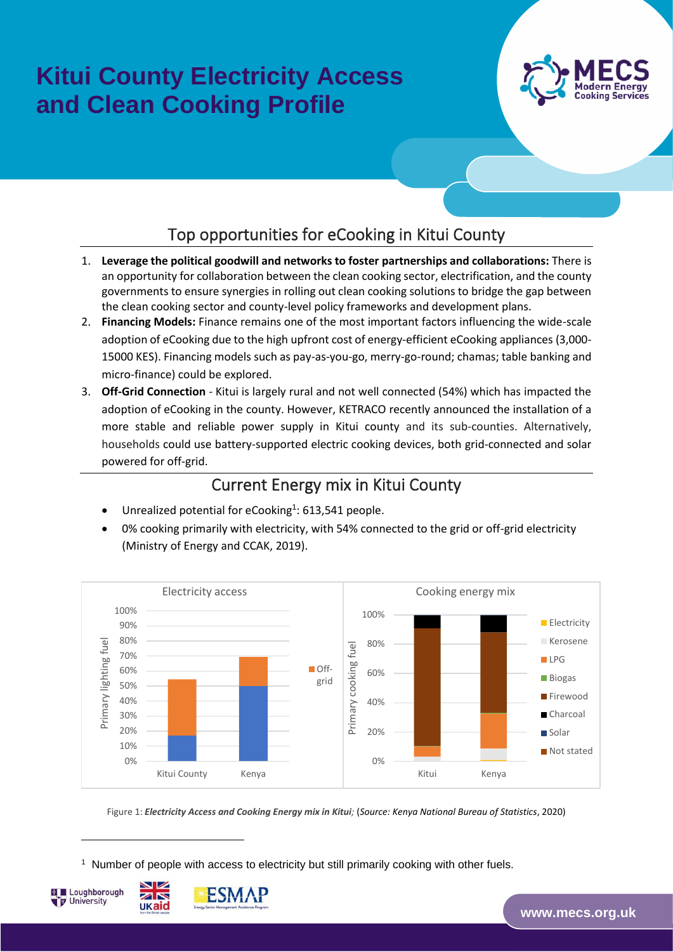# **Kitui County Electricity Access and Clean Cooking Profile**



#### Top opportunities for eCooking in Kitui County

- 1. **Leverage the political goodwill and networks to foster partnerships and collaborations:** There is an opportunity for collaboration between the clean cooking sector, electrification, and the county governments to ensure synergies in rolling out clean cooking solutions to bridge the gap between the clean cooking sector and county-level policy frameworks and development plans.
- 2. **Financing Models:** Finance remains one of the most important factors influencing the wide-scale adoption of eCooking due to the high upfront cost of energy-efficient eCooking appliances (3,000- 15000 KES). Financing models such as pay-as-you-go, merry-go-round; chamas; table banking and micro-finance) could be explored.
- 3. **Off-Grid Connection** Kitui is largely rural and not well connected (54%) which has impacted the adoption of eCooking in the county. However, KETRACO recently announced the installation of a more stable and reliable power supply in Kitui county and its sub-counties. Alternatively, households could use battery-supported electric cooking devices, both grid-connected and solar powered for off-grid.

#### Current Energy mix in Kitui County

- Unrealized potential for eCooking<sup>1</sup>: 613,541 people.
- 0% cooking primarily with electricity, with 54% connected to the grid or off-grid electricity (Ministry of Energy and CCAK, 2019).



Figure 1: *Electricity Access and Cooking Energy mix in Kitui;* (*Source: Kenya National Bureau of Statistics*, 2020)

1 Number of people with access to electricity but still primarily cooking with other fuels.



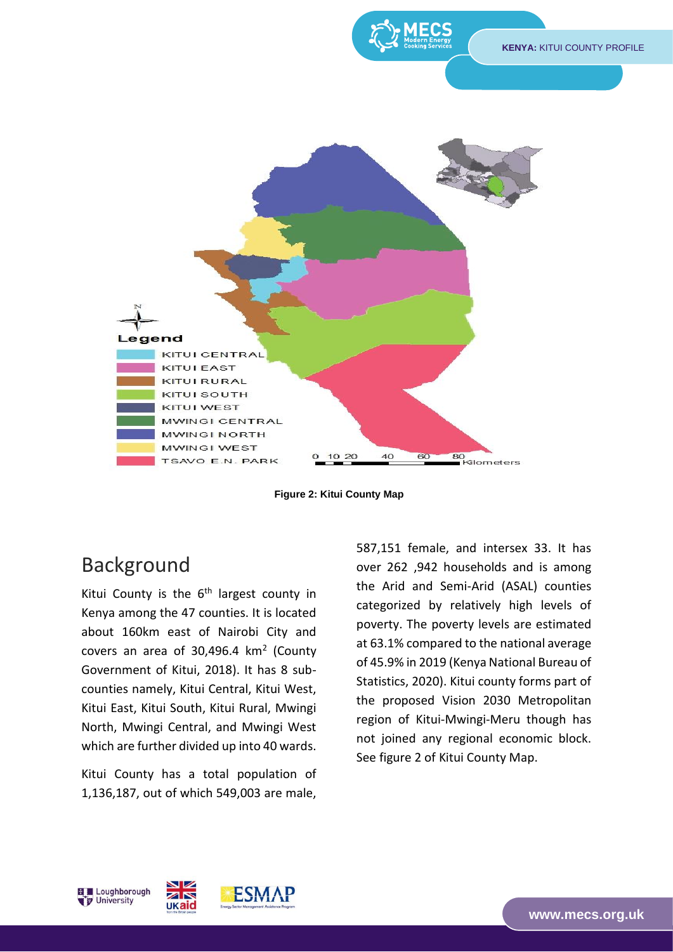

**Figure 2: Kitui County Map**

### Background

Kitui County is the  $6<sup>th</sup>$  largest county in Kenya among the 47 counties. It is located about 160km east of Nairobi City and covers an area of  $30,496.4$  km<sup>2</sup> (County Government of Kitui, 2018). It has 8 subcounties namely, Kitui Central, Kitui West, Kitui East, Kitui South, Kitui Rural, Mwingi North, Mwingi Central, and Mwingi West which are further divided up into 40 wards.

Kitui County has a total population of 1,136,187, out of which 549,003 are male, 587,151 female, and intersex 33. It has over 262 ,942 households and is among the Arid and Semi-Arid (ASAL) counties categorized by relatively high levels of poverty. The poverty levels are estimated at 63.1% compared to the national average of 45.9% in 2019 (Kenya National Bureau of Statistics, 2020). Kitui county forms part of the proposed Vision 2030 Metropolitan region of Kitui-Mwingi-Meru though has not joined any regional economic block. See figure 2 of Kitui County Map.



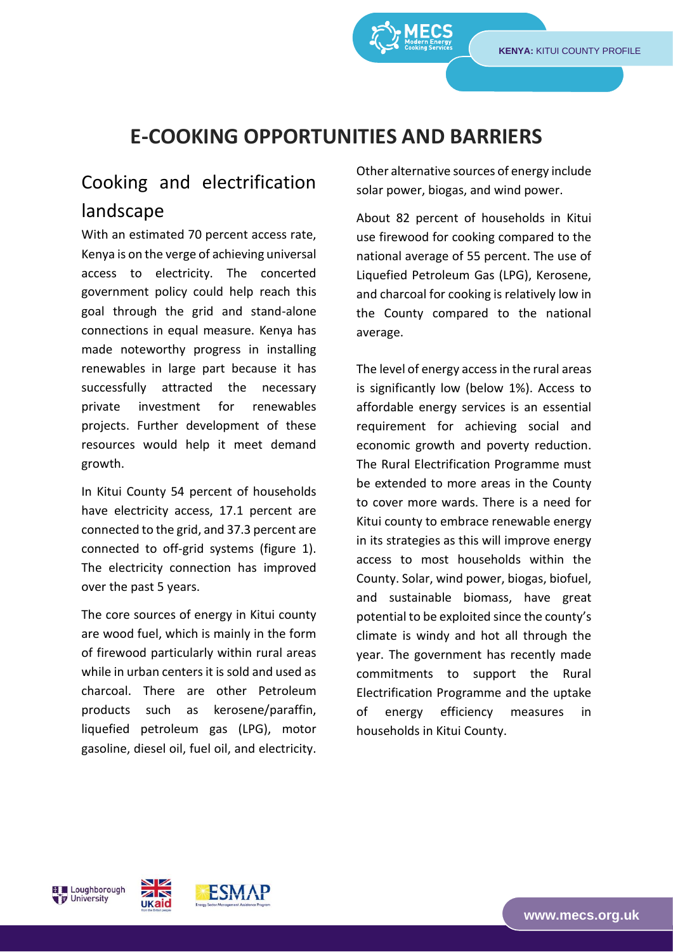TRANSITIONS

## **E-COOKING OPPORTUNITIES AND BARRIERS**

## Cooking and electrification landscape

With an estimated 70 percent access rate, Kenya is on the verge of achieving universal access to electricity. The concerted government policy could help reach this goal through the grid and stand-alone connections in equal measure. Kenya has made noteworthy progress in installing renewables in large part because it has successfully attracted the necessary private investment for renewables projects. Further development of these resources would help it meet demand growth.

In Kitui County 54 percent of households have electricity access, 17.1 percent are connected to the grid, and 37.3 percent are connected to off-grid systems (figure 1). The electricity connection has improved over the past 5 years.

The core sources of energy in Kitui county are wood fuel, which is mainly in the form of firewood particularly within rural areas while in urban centers it is sold and used as charcoal. There are other Petroleum products such as kerosene/paraffin, liquefied petroleum gas (LPG), motor gasoline, diesel oil, fuel oil, and electricity.

Other alternative sources of energy include solar power, biogas, and wind power.

About 82 percent of households in Kitui use firewood for cooking compared to the national average of 55 percent. The use of Liquefied Petroleum Gas (LPG), Kerosene, and charcoal for cooking is relatively low in the County compared to the national average.

The level of energy access in the rural areas is significantly low (below 1%). Access to affordable energy services is an essential requirement for achieving social and economic growth and poverty reduction. The Rural Electrification Programme must be extended to more areas in the County to cover more wards. There is a need for Kitui county to embrace renewable energy in its strategies as this will improve energy access to most households within the County. Solar, wind power, biogas, biofuel, and sustainable biomass, have great potential to be exploited since the county's climate is windy and hot all through the year. The government has recently made commitments to support the Rural Electrification Programme and the uptake of energy efficiency measures in households in Kitui County.

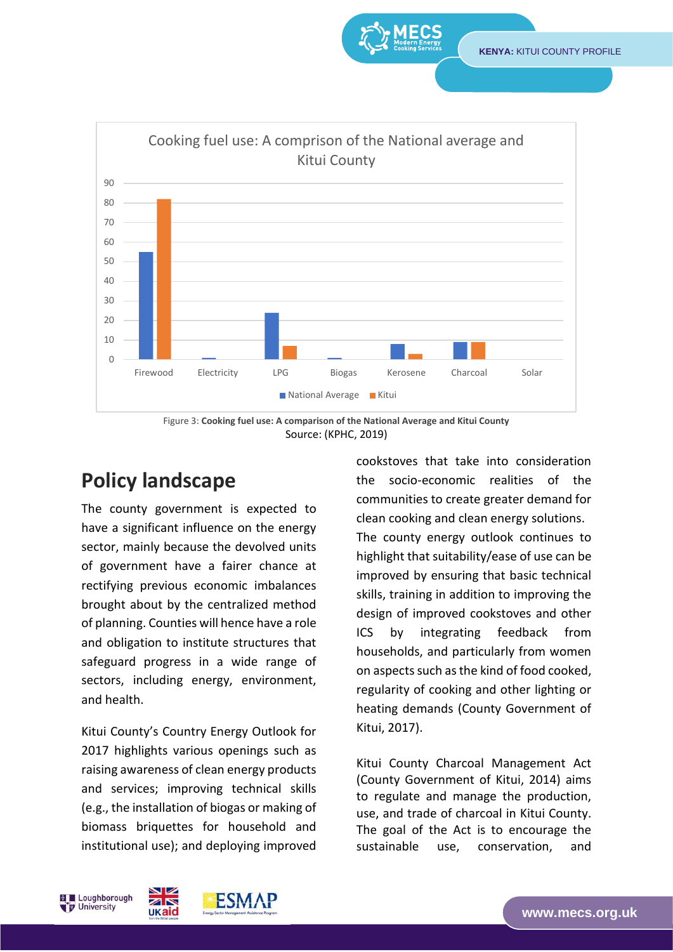TRANSITIONS



Figure 3: **Cooking fuel use: A comparison of the National Average and Kitui County** Source: (KPHC, 2019)

## **Policy landscape**

The county government is expected to have a significant influence on the energy sector, mainly because the devolved units of government have a fairer chance at rectifying previous economic imbalances brought about by the centralized method of planning. Counties will hence have a role and obligation to institute structures that safeguard progress in a wide range of sectors, including energy, environment, and health.

Kitui County's Country Energy Outlook for 2017 highlights various openings such as raising awareness of clean energy products and services; improving technical skills (e.g., the installation of biogas or making of biomass briquettes for household and institutional use); and deploying improved

cookstoves that take into consideration the socio-economic realities of the communities to create greater demand for clean cooking and clean energy solutions. The county energy outlook continues to highlight that suitability/ease of use can be improved by ensuring that basic technical skills, training in addition to improving the design of improved cookstoves and other ICS by integrating feedback from households, and particularly from women on aspects such as the kind of food cooked, regularity of cooking and other lighting or heating demands (County Government of Kitui, 2017).

Kitui County Charcoal Management Act (County Government of Kitui, 2014) aims to regulate and manage the production, use, and trade of charcoal in Kitui County. The goal of the Act is to encourage the sustainable use, conservation, and

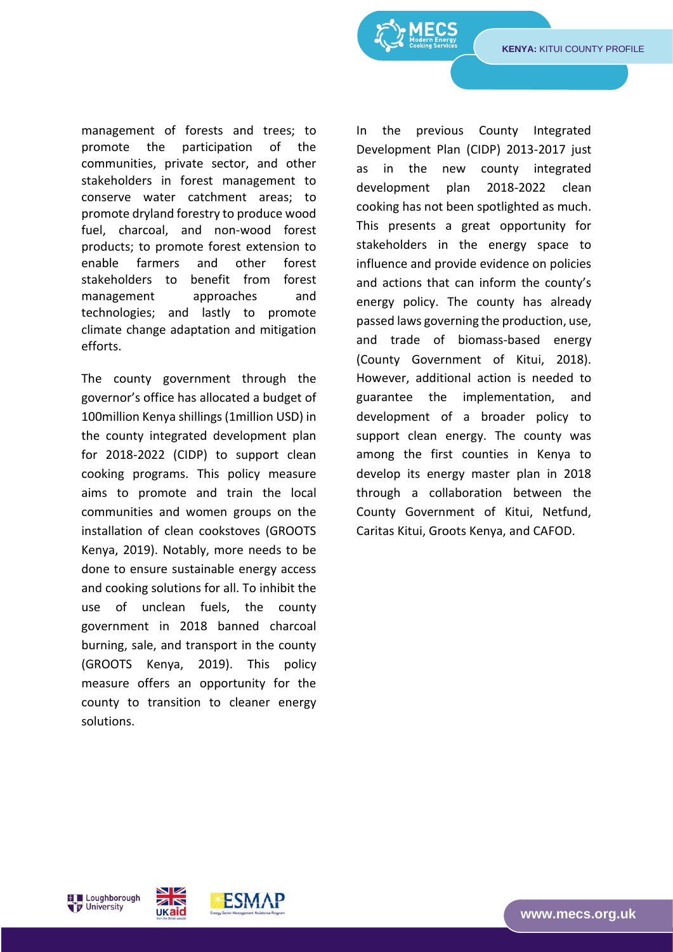**KENYA:** KITUI COUNTY PROFILE

TRANSITIONS

management of forests and trees; to promote the participation of the communities, private sector, and other stakeholders in forest management to conserve water catchment areas; to promote dryland forestry to produce wood fuel, charcoal, and non-wood forest products; to promote forest extension to enable farmers and other forest stakeholders to benefit from forest management approaches and technologies; and lastly to promote climate change adaptation and mitigation efforts.

The county government through the governor's office has allocated a budget of 100million Kenya shillings (1million USD) in the county integrated development plan for 2018-2022 (CIDP) to support clean cooking programs. This policy measure aims to promote and train the local communities and women groups on the installation of clean cookstoves (GROOTS Kenya, 2019). Notably, more needs to be done to ensure sustainable energy access and cooking solutions for all. To inhibit the use of unclean fuels, the county government in 2018 banned charcoal burning, sale, and transport in the county (GROOTS Kenya, 2019). This policy measure offers an opportunity for the county to transition to cleaner energy solutions.

In the previous County Integrated Development Plan (CIDP) 2013-2017 just as in the new county integrated development plan 2018-2022 clean cooking has not been spotlighted as much. This presents a great opportunity for stakeholders in the energy space to influence and provide evidence on policies and actions that can inform the county's energy policy. The county has already passed laws governing the production, use, and trade of biomass-based energy (County Government of Kitui, 2018). However, additional action is needed to guarantee the implementation, and development of a broader policy to support clean energy. The county was among the first counties in Kenya to develop its energy master plan in 2018 through a collaboration between the County Government of Kitui, Netfund, Caritas Kitui, Groots Kenya, and CAFOD.



ESMAP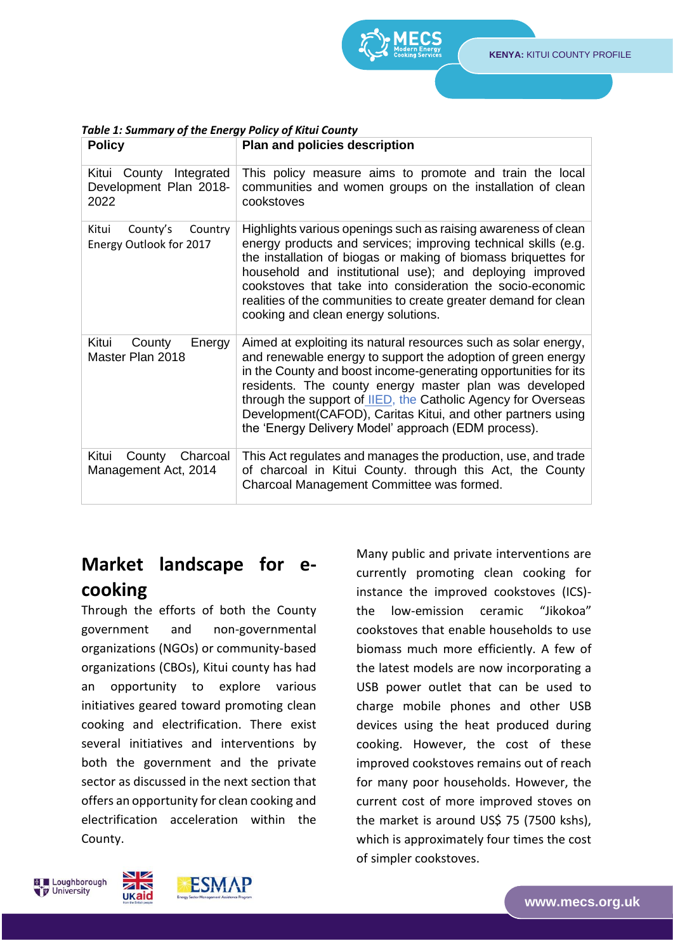| LOIICA                                                    | Pidii diiu policies description                                                                                                                                                                                                                                                                                                                                                                                                                      |
|-----------------------------------------------------------|------------------------------------------------------------------------------------------------------------------------------------------------------------------------------------------------------------------------------------------------------------------------------------------------------------------------------------------------------------------------------------------------------------------------------------------------------|
| Kitui County Integrated<br>Development Plan 2018-<br>2022 | This policy measure aims to promote and train the local<br>communities and women groups on the installation of clean<br>cookstoves                                                                                                                                                                                                                                                                                                                   |
| Kitui<br>County's<br>Country<br>Energy Outlook for 2017   | Highlights various openings such as raising awareness of clean<br>energy products and services; improving technical skills (e.g.<br>the installation of biogas or making of biomass briquettes for<br>household and institutional use); and deploying improved<br>cookstoves that take into consideration the socio-economic<br>realities of the communities to create greater demand for clean<br>cooking and clean energy solutions.               |
| Kitui<br>County<br>Energy<br>Master Plan 2018             | Aimed at exploiting its natural resources such as solar energy,<br>and renewable energy to support the adoption of green energy<br>in the County and boost income-generating opportunities for its<br>residents. The county energy master plan was developed<br>through the support of IIED, the Catholic Agency for Overseas<br>Development (CAFOD), Caritas Kitui, and other partners using<br>the 'Energy Delivery Model' approach (EDM process). |
| Kitui<br>Charcoal<br>County<br>Management Act, 2014       | This Act regulates and manages the production, use, and trade<br>of charcoal in Kitui County. through this Act, the County<br>Charcoal Management Committee was formed.                                                                                                                                                                                                                                                                              |

#### *Table 1: Summary of the Energy Policy of Kitui County* **Policy Plan and policies description**

#### **Market landscape for ecooking**

Through the efforts of both the County government and non-governmental organizations (NGOs) or community-based organizations (CBOs), Kitui county has had an opportunity to explore various initiatives geared toward promoting clean cooking and electrification. There exist several initiatives and interventions by both the government and the private sector as discussed in the next section that offers an opportunity for clean cooking and electrification acceleration within the County.

Many public and private interventions are currently promoting clean cooking for instance the improved cookstoves (ICS) the low-emission ceramic "Jikokoa" cookstoves that enable households to use biomass much more efficiently. A few of the latest models are now incorporating a USB power outlet that can be used to charge mobile phones and other USB devices using the heat produced during cooking. However, the cost of these improved cookstoves remains out of reach for many poor households. However, the current cost of more improved stoves on the market is around US\$ 75 (7500 kshs), which is approximately four times the cost of simpler cookstoves.

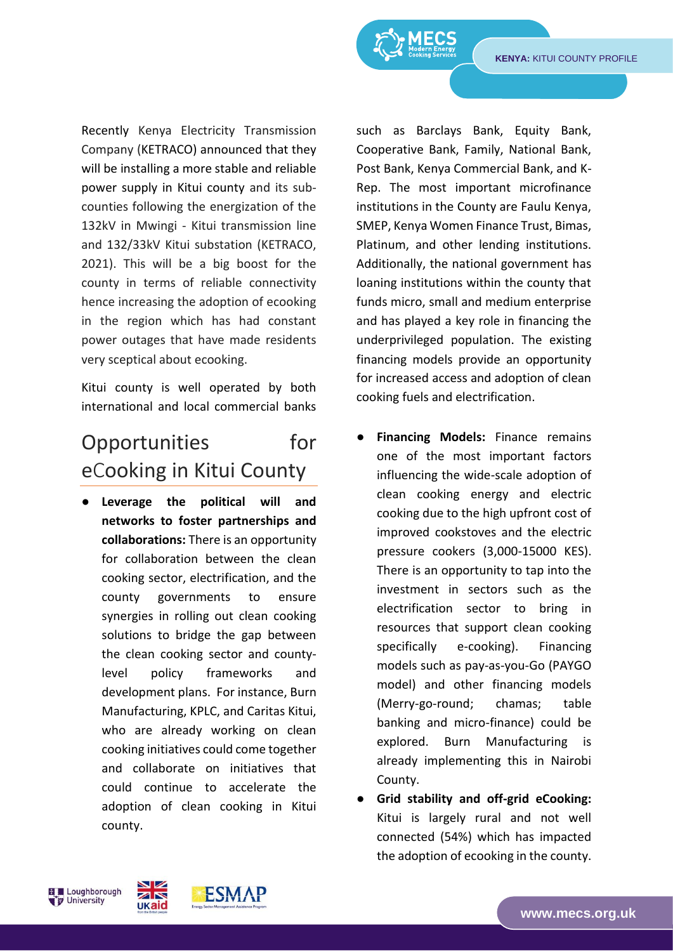TRANSITIONS

Recently Kenya Electricity Transmission Company (KETRACO) announced that they will be installing a more stable and reliable power supply in Kitui county and its subcounties following the energization of the 132kV in Mwingi - Kitui transmission line and 132/33kV Kitui substation (KETRACO, 2021). This will be a big boost for the county in terms of reliable connectivity hence increasing the adoption of ecooking in the region which has had constant power outages that have made residents very sceptical about ecooking.

Kitui county is well operated by both international and local commercial banks

#### Opportunities for eCooking in Kitui County

Leverage the political will and **networks to foster partnerships and collaborations:** There is an opportunity for collaboration between the clean cooking sector, electrification, and the county governments to ensure synergies in rolling out clean cooking solutions to bridge the gap between the clean cooking sector and countylevel policy frameworks and development plans. For instance, Burn Manufacturing, KPLC, and Caritas Kitui, who are already working on clean cooking initiatives could come together and collaborate on initiatives that could continue to accelerate the adoption of clean cooking in Kitui county.

such as Barclays Bank, Equity Bank, Cooperative Bank, Family, National Bank, Post Bank, Kenya Commercial Bank, and K-Rep. The most important microfinance institutions in the County are Faulu Kenya, SMEP, Kenya Women Finance Trust, Bimas, Platinum, and other lending institutions. Additionally, the national government has loaning institutions within the county that funds micro, small and medium enterprise and has played a key role in financing the underprivileged population. The existing financing models provide an opportunity for increased access and adoption of clean cooking fuels and electrification.

- **Financing Models:** Finance remains one of the most important factors influencing the wide-scale adoption of clean cooking energy and electric cooking due to the high upfront cost of improved cookstoves and the electric pressure cookers (3,000-15000 KES). There is an opportunity to tap into the investment in sectors such as the electrification sector to bring in resources that support clean cooking specifically e-cooking). Financing models such as pay-as-you-Go (PAYGO model) and other financing models (Merry-go-round; chamas; table banking and micro-finance) could be explored. Burn Manufacturing is already implementing this in Nairobi County.
- **Grid stability and off-grid eCooking:**  Kitui is largely rural and not well connected (54%) which has impacted the adoption of ecooking in the county.



 $\overline{\mathbf{z}}$